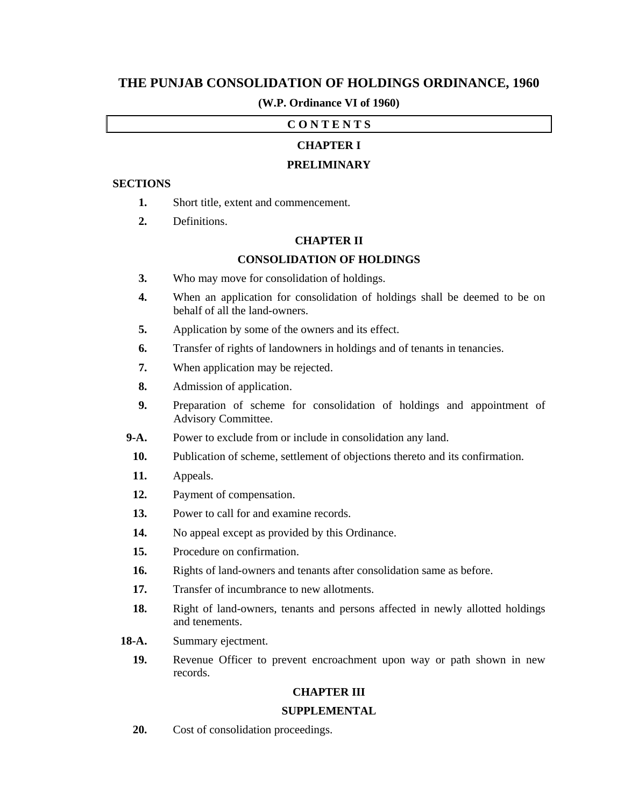# **THE PUNJAB CONSOLIDATION OF HOLDINGS ORDINANCE, 1960**

### **(W.P. Ordinance VI of 1960)**

## **C O N T E N T S**

## **CHAPTER I**

## **PRELIMINARY**

#### **SECTIONS**

- **1.** Short title, extent and commencement.
- **2.** Definitions.

## **CHAPTER II**

#### **CONSOLIDATION OF HOLDINGS**

- **3.** Who may move for consolidation of holdings.
- **4.** When an application for consolidation of holdings shall be deemed to be on behalf of all the land-owners.
- **5.** Application by some of the owners and its effect.
- **6.** Transfer of rights of landowners in holdings and of tenants in tenancies.
- **7.** When application may be rejected.
- **8.** Admission of application.
- **9.** Preparation of scheme for consolidation of holdings and appointment of Advisory Committee.
- **9-A.** Power to exclude from or include in consolidation any land.
- **10.** Publication of scheme, settlement of objections thereto and its confirmation.
- **11.** Appeals.
- **12.** Payment of compensation.
- **13.** Power to call for and examine records.
- 14. No appeal except as provided by this Ordinance.
- **15.** Procedure on confirmation.
- **16.** Rights of land-owners and tenants after consolidation same as before.
- 17. Transfer of incumbrance to new allotments.
- **18.** Right of land-owners, tenants and persons affected in newly allotted holdings and tenements.
- 18-A. Summary ejectment.
	- **19.** Revenue Officer to prevent encroachment upon way or path shown in new records.

#### **CHAPTER III**

#### **SUPPLEMENTAL**

 **20.** Cost of consolidation proceedings.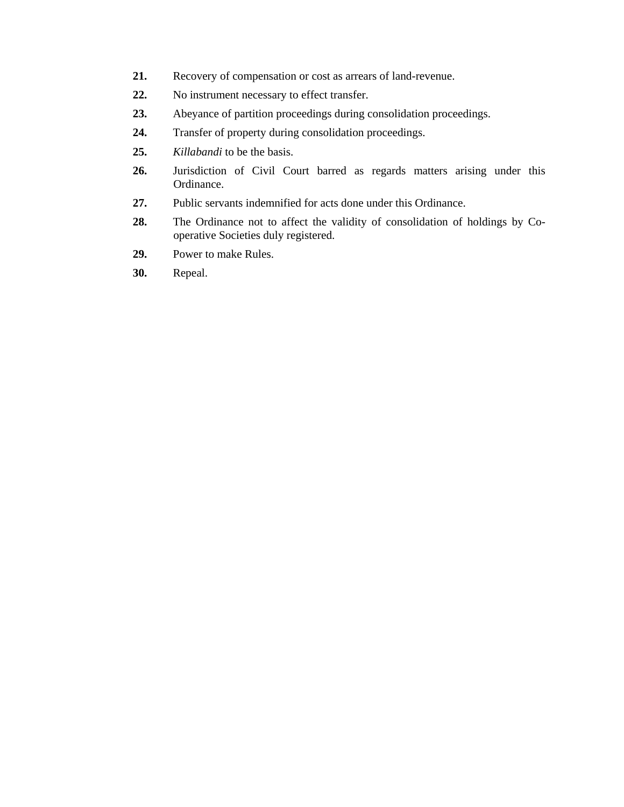- **21.** Recovery of compensation or cost as arrears of land-revenue.
- **22.** No instrument necessary to effect transfer.
- **23.** Abeyance of partition proceedings during consolidation proceedings.
- **24.** Transfer of property during consolidation proceedings.
- **25.** *Killabandi* to be the basis.
- **26.** Jurisdiction of Civil Court barred as regards matters arising under this Ordinance.
- **27.** Public servants indemnified for acts done under this Ordinance.
- **28.** The Ordinance not to affect the validity of consolidation of holdings by Cooperative Societies duly registered.
- **29.** Power to make Rules.
- **30.** Repeal.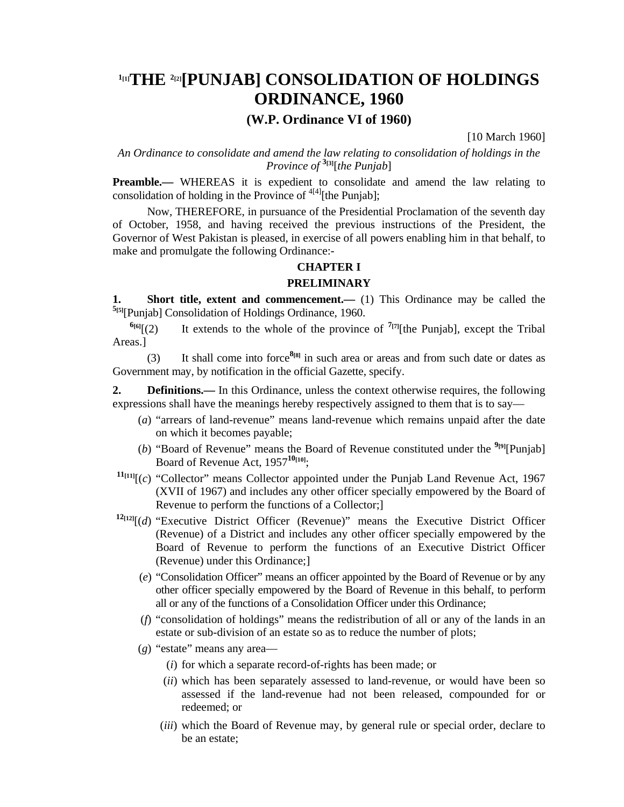# **1[1]THE 2[2][PUNJAB] CONSOLIDATION OF HOLDINGS ORDINANCE, 1960**

# **(W.P. Ordinance VI of 1960)**

[10 March 1960]

*An Ordinance to consolidate and amend the law relating to consolidation of holdings in the Province of* **3[3]**[*the Punjab*]

**Preamble.**— WHEREAS it is expedient to consolidate and amend the law relating to consolidation of holding in the Province of  $4[4]$ [the Punjab];

 Now, THEREFORE, in pursuance of the Presidential Proclamation of the seventh day of October, 1958, and having received the previous instructions of the President, the Governor of West Pakistan is pleased, in exercise of all powers enabling him in that behalf, to make and promulgate the following Ordinance:-

#### **CHAPTER I**

#### **PRELIMINARY**

**1. Short title, extent and commencement.—** (1) This Ordinance may be called the **5[5]**[Punjab] Consolidation of Holdings Ordinance, 1960.

 $\frac{6}{6}$ [(2) It extends to the whole of the province of  $\frac{7}{7}$ [the Punjab], except the Tribal Areas.]

 (3) It shall come into force**8[8]** in such area or areas and from such date or dates as Government may, by notification in the official Gazette, specify.

**2. Definitions.**— In this Ordinance, unless the context otherwise requires, the following expressions shall have the meanings hereby respectively assigned to them that is to say—

- (*a*) "arrears of land-revenue" means land-revenue which remains unpaid after the date on which it becomes payable;
- (*b*) "Board of Revenue" means the Board of Revenue constituted under the **9[9]**[Punjab] Board of Revenue Act, 1957**10[10]**;
- $11_{[11]}$ [(*c*) "Collector" means Collector appointed under the Punjab Land Revenue Act, 1967 (XVII of 1967) and includes any other officer specially empowered by the Board of Revenue to perform the functions of a Collector;]
- $12[12]$ [(*d*) "Executive District Officer (Revenue)" means the Executive District Officer (Revenue) of a District and includes any other officer specially empowered by the Board of Revenue to perform the functions of an Executive District Officer (Revenue) under this Ordinance;]
	- (*e*) "Consolidation Officer" means an officer appointed by the Board of Revenue or by any other officer specially empowered by the Board of Revenue in this behalf, to perform all or any of the functions of a Consolidation Officer under this Ordinance;
	- (*f*) "consolidation of holdings" means the redistribution of all or any of the lands in an estate or sub-division of an estate so as to reduce the number of plots;
	- (*g*) "estate" means any area—
		- (*i*) for which a separate record-of-rights has been made; or
		- (*ii*) which has been separately assessed to land-revenue, or would have been so assessed if the land-revenue had not been released, compounded for or redeemed; or
		- (*iii*) which the Board of Revenue may, by general rule or special order, declare to be an estate;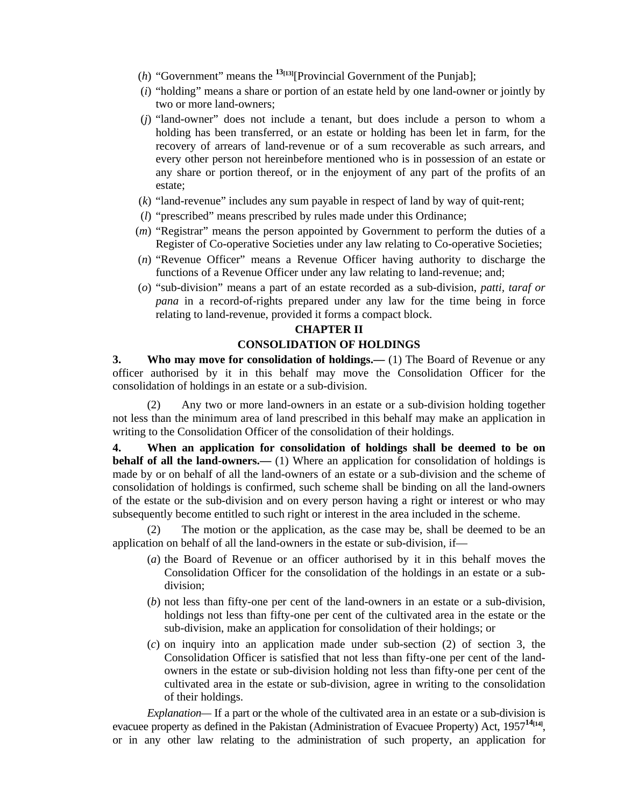- (*h*) "Government" means the  $13[13]$ [Provincial Government of the Punjab];
- (*i*) "holding" means a share or portion of an estate held by one land-owner or jointly by two or more land-owners;
- (*j*) "land-owner" does not include a tenant, but does include a person to whom a holding has been transferred, or an estate or holding has been let in farm, for the recovery of arrears of land-revenue or of a sum recoverable as such arrears, and every other person not hereinbefore mentioned who is in possession of an estate or any share or portion thereof, or in the enjoyment of any part of the profits of an estate;
- (*k*) "land-revenue" includes any sum payable in respect of land by way of quit-rent;
- (*l*) "prescribed" means prescribed by rules made under this Ordinance;
- (*m*) "Registrar" means the person appointed by Government to perform the duties of a Register of Co-operative Societies under any law relating to Co-operative Societies;
- (*n*) "Revenue Officer" means a Revenue Officer having authority to discharge the functions of a Revenue Officer under any law relating to land-revenue; and;
- (*o*) "sub-division" means a part of an estate recorded as a sub-division, *patti, taraf or pana* in a record-of-rights prepared under any law for the time being in force relating to land-revenue, provided it forms a compact block.

#### **CHAPTER II**

#### **CONSOLIDATION OF HOLDINGS**

**3.** Who may move for consolidation of holdings.— (1) The Board of Revenue or any officer authorised by it in this behalf may move the Consolidation Officer for the consolidation of holdings in an estate or a sub-division.

 (2) Any two or more land-owners in an estate or a sub-division holding together not less than the minimum area of land prescribed in this behalf may make an application in writing to the Consolidation Officer of the consolidation of their holdings.

**4. When an application for consolidation of holdings shall be deemed to be on behalf of all the land-owners.—** (1) Where an application for consolidation of holdings is made by or on behalf of all the land-owners of an estate or a sub-division and the scheme of consolidation of holdings is confirmed, such scheme shall be binding on all the land-owners of the estate or the sub-division and on every person having a right or interest or who may subsequently become entitled to such right or interest in the area included in the scheme.

The motion or the application, as the case may be, shall be deemed to be an application on behalf of all the land-owners in the estate or sub-division, if—

- (*a*) the Board of Revenue or an officer authorised by it in this behalf moves the Consolidation Officer for the consolidation of the holdings in an estate or a subdivision;
- (*b*) not less than fifty-one per cent of the land-owners in an estate or a sub-division, holdings not less than fifty-one per cent of the cultivated area in the estate or the sub-division, make an application for consolidation of their holdings; or
- (*c*) on inquiry into an application made under sub-section (2) of section 3, the Consolidation Officer is satisfied that not less than fifty-one per cent of the landowners in the estate or sub-division holding not less than fifty-one per cent of the cultivated area in the estate or sub-division, agree in writing to the consolidation of their holdings.

 *Explanation—* If a part or the whole of the cultivated area in an estate or a sub-division is evacuee property as defined in the Pakistan (Administration of Evacuee Property) Act, 1957<sup>14</sup><sup>[14]</sup>, or in any other law relating to the administration of such property, an application for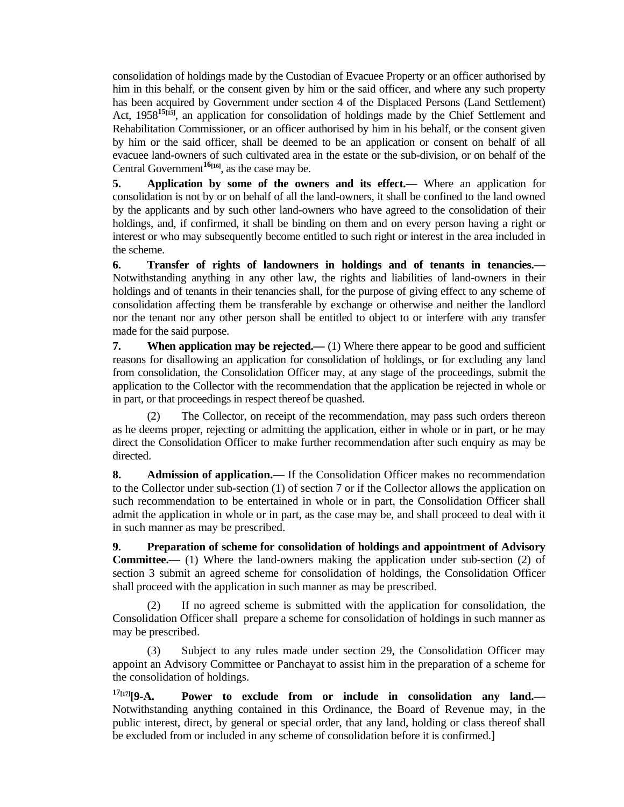consolidation of holdings made by the Custodian of Evacuee Property or an officer authorised by him in this behalf, or the consent given by him or the said officer, and where any such property has been acquired by Government under section 4 of the Displaced Persons (Land Settlement) Act, 1958<sup>15<sub>[15]</sub>, an application for consolidation of holdings made by the Chief Settlement and</sup> Rehabilitation Commissioner, or an officer authorised by him in his behalf, or the consent given by him or the said officer, shall be deemed to be an application or consent on behalf of all evacuee land-owners of such cultivated area in the estate or the sub-division, or on behalf of the Central Government**16[16]**, as the case may be.

**5. Application by some of the owners and its effect.—** Where an application for consolidation is not by or on behalf of all the land-owners, it shall be confined to the land owned by the applicants and by such other land-owners who have agreed to the consolidation of their holdings, and, if confirmed, it shall be binding on them and on every person having a right or interest or who may subsequently become entitled to such right or interest in the area included in the scheme.

**6. Transfer of rights of landowners in holdings and of tenants in tenancies.—** Notwithstanding anything in any other law, the rights and liabilities of land-owners in their holdings and of tenants in their tenancies shall, for the purpose of giving effect to any scheme of consolidation affecting them be transferable by exchange or otherwise and neither the landlord nor the tenant nor any other person shall be entitled to object to or interfere with any transfer made for the said purpose.

**7.** When application may be rejected.—(1) Where there appear to be good and sufficient reasons for disallowing an application for consolidation of holdings, or for excluding any land from consolidation, the Consolidation Officer may, at any stage of the proceedings, submit the application to the Collector with the recommendation that the application be rejected in whole or in part, or that proceedings in respect thereof be quashed.

 (2) The Collector, on receipt of the recommendation, may pass such orders thereon as he deems proper, rejecting or admitting the application, either in whole or in part, or he may direct the Consolidation Officer to make further recommendation after such enquiry as may be directed.

**8. Admission of application.—** If the Consolidation Officer makes no recommendation to the Collector under sub-section (1) of section 7 or if the Collector allows the application on such recommendation to be entertained in whole or in part, the Consolidation Officer shall admit the application in whole or in part, as the case may be, and shall proceed to deal with it in such manner as may be prescribed.

**9. Preparation of scheme for consolidation of holdings and appointment of Advisory Committee.—** (1) Where the land-owners making the application under sub-section (2) of section 3 submit an agreed scheme for consolidation of holdings, the Consolidation Officer shall proceed with the application in such manner as may be prescribed.

 (2) If no agreed scheme is submitted with the application for consolidation, the Consolidation Officer shall prepare a scheme for consolidation of holdings in such manner as may be prescribed.

 (3) Subject to any rules made under section 29, the Consolidation Officer may appoint an Advisory Committee or Panchayat to assist him in the preparation of a scheme for the consolidation of holdings.

**17[17][9-A. Power to exclude from or include in consolidation any land.—** Notwithstanding anything contained in this Ordinance, the Board of Revenue may, in the public interest, direct, by general or special order, that any land, holding or class thereof shall be excluded from or included in any scheme of consolidation before it is confirmed.]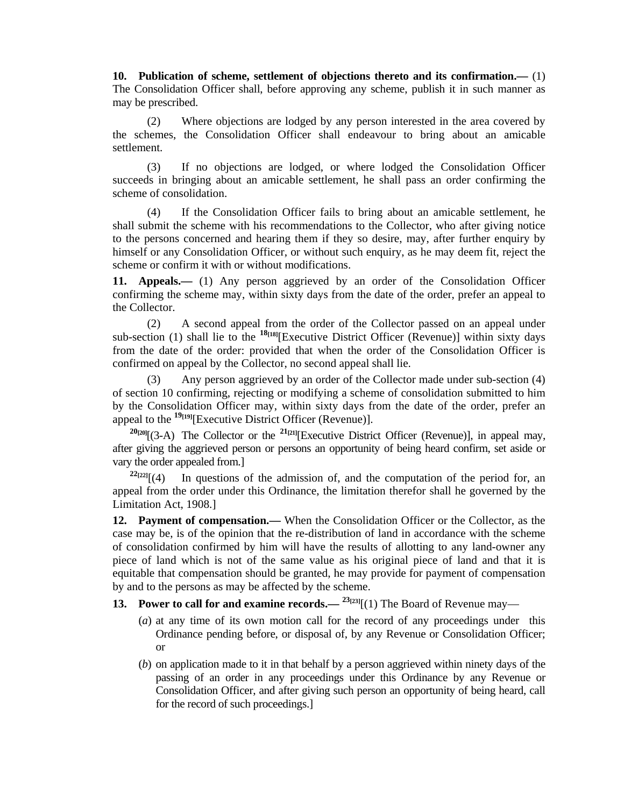**10. Publication of scheme, settlement of objections thereto and its confirmation.—** (1) The Consolidation Officer shall, before approving any scheme, publish it in such manner as may be prescribed.

 (2) Where objections are lodged by any person interested in the area covered by the schemes, the Consolidation Officer shall endeavour to bring about an amicable settlement.

 (3) If no objections are lodged, or where lodged the Consolidation Officer succeeds in bringing about an amicable settlement, he shall pass an order confirming the scheme of consolidation.

 (4) If the Consolidation Officer fails to bring about an amicable settlement, he shall submit the scheme with his recommendations to the Collector, who after giving notice to the persons concerned and hearing them if they so desire, may, after further enquiry by himself or any Consolidation Officer, or without such enquiry, as he may deem fit, reject the scheme or confirm it with or without modifications.

**11. Appeals.—** (1) Any person aggrieved by an order of the Consolidation Officer confirming the scheme may, within sixty days from the date of the order, prefer an appeal to the Collector.

 (2) A second appeal from the order of the Collector passed on an appeal under sub-section (1) shall lie to the  $^{18}$ <sup>[18]</sup>[Executive District Officer (Revenue)] within sixty days from the date of the order: provided that when the order of the Consolidation Officer is confirmed on appeal by the Collector, no second appeal shall lie.

 (3) Any person aggrieved by an order of the Collector made under sub-section (4) of section 10 confirming, rejecting or modifying a scheme of consolidation submitted to him by the Consolidation Officer may, within sixty days from the date of the order, prefer an appeal to the **19[19]**[Executive District Officer (Revenue)].

 $20[20][(3-A)$  The Collector or the <sup>21[21]</sup>[Executive District Officer (Revenue)], in appeal may, after giving the aggrieved person or persons an opportunity of being heard confirm, set aside or vary the order appealed from.]

 $2^{2}[2^{2}[1(4)]$  In questions of the admission of, and the computation of the period for, an appeal from the order under this Ordinance, the limitation therefor shall he governed by the Limitation Act, 1908.]

**12. Payment of compensation.—** When the Consolidation Officer or the Collector, as the case may be, is of the opinion that the re-distribution of land in accordance with the scheme of consolidation confirmed by him will have the results of allotting to any land-owner any piece of land which is not of the same value as his original piece of land and that it is equitable that compensation should be granted, he may provide for payment of compensation by and to the persons as may be affected by the scheme.

- **13. Power to call for and examine records.—**  $23[23][(1)$  **The Board of Revenue may—** 
	- (*a*) at any time of its own motion call for the record of any proceedings under this Ordinance pending before, or disposal of, by any Revenue or Consolidation Officer; or
	- (*b*) on application made to it in that behalf by a person aggrieved within ninety days of the passing of an order in any proceedings under this Ordinance by any Revenue or Consolidation Officer, and after giving such person an opportunity of being heard, call for the record of such proceedings.]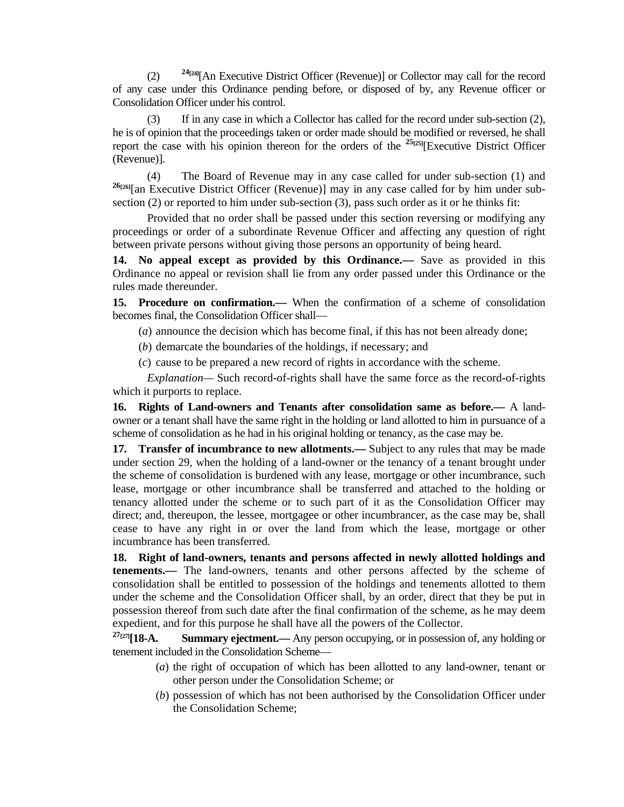(2) **24[24]**[An Executive District Officer (Revenue)] or Collector may call for the record of any case under this Ordinance pending before, or disposed of by, any Revenue officer or Consolidation Officer under his control.

 (3) If in any case in which a Collector has called for the record under sub-section (2), he is of opinion that the proceedings taken or order made should be modified or reversed, he shall report the case with his opinion thereon for the orders of the **25[25]**[Executive District Officer (Revenue)].

 (4) The Board of Revenue may in any case called for under sub-section (1) and <sup>26</sup><sup>[26]</sup>[an Executive District Officer (Revenue)] may in any case called for by him under subsection (2) or reported to him under sub-section (3), pass such order as it or he thinks fit:

 Provided that no order shall be passed under this section reversing or modifying any proceedings or order of a subordinate Revenue Officer and affecting any question of right between private persons without giving those persons an opportunity of being heard.

**14. No appeal except as provided by this Ordinance.—** Save as provided in this Ordinance no appeal or revision shall lie from any order passed under this Ordinance or the rules made thereunder.

**15. Procedure on confirmation.—** When the confirmation of a scheme of consolidation becomes final, the Consolidation Officer shall—

(*a*) announce the decision which has become final, if this has not been already done;

- (*b*) demarcate the boundaries of the holdings, if necessary; and
- (*c*) cause to be prepared a new record of rights in accordance with the scheme.

 *Explanation—* Such record-of-rights shall have the same force as the record-of-rights which it purports to replace.

**16. Rights of Land-owners and Tenants after consolidation same as before.—** A landowner or a tenant shall have the same right in the holding or land allotted to him in pursuance of a scheme of consolidation as he had in his original holding or tenancy, as the case may be.

**17. Transfer of incumbrance to new allotments.—** Subject to any rules that may be made under section 29, when the holding of a land-owner or the tenancy of a tenant brought under the scheme of consolidation is burdened with any lease, mortgage or other incumbrance, such lease, mortgage or other incumbrance shall be transferred and attached to the holding or tenancy allotted under the scheme or to such part of it as the Consolidation Officer may direct; and, thereupon, the lessee, mortgagee or other incumbrancer, as the case may be, shall cease to have any right in or over the land from which the lease, mortgage or other incumbrance has been transferred.

**18. Right of land-owners, tenants and persons affected in newly allotted holdings and tenements.—** The land-owners, tenants and other persons affected by the scheme of consolidation shall be entitled to possession of the holdings and tenements allotted to them under the scheme and the Consolidation Officer shall, by an order, direct that they be put in possession thereof from such date after the final confirmation of the scheme, as he may deem expedient, and for this purpose he shall have all the powers of the Collector.

<sup>27</sup><sup>[27]</sup>[18-A. Summary ejectment.— Any person occupying, or in possession of, any holding or tenement included in the Consolidation Scheme—

- (*a*) the right of occupation of which has been allotted to any land-owner, tenant or other person under the Consolidation Scheme; or
- (*b*) possession of which has not been authorised by the Consolidation Officer under the Consolidation Scheme;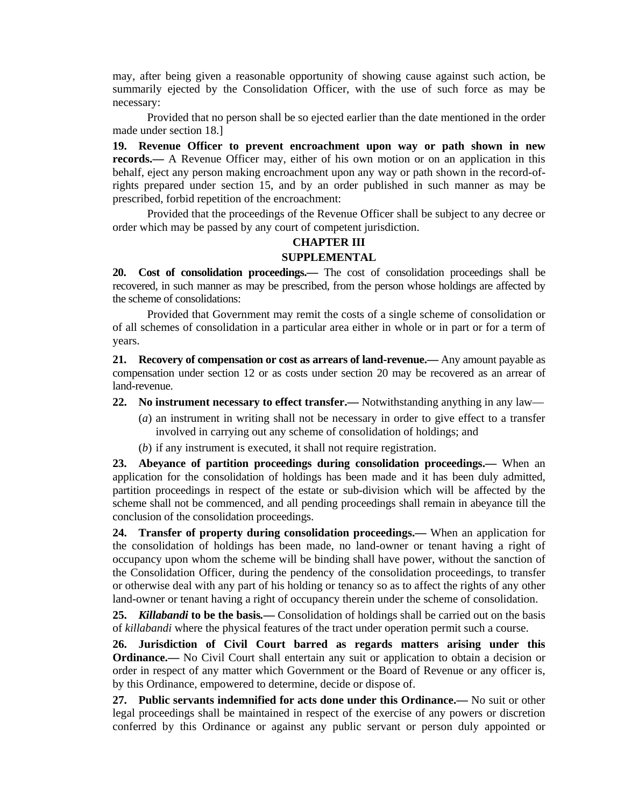may, after being given a reasonable opportunity of showing cause against such action, be summarily ejected by the Consolidation Officer, with the use of such force as may be necessary:

 Provided that no person shall be so ejected earlier than the date mentioned in the order made under section 18.]

**19. Revenue Officer to prevent encroachment upon way or path shown in new records.—** A Revenue Officer may, either of his own motion or on an application in this behalf, eject any person making encroachment upon any way or path shown in the record-ofrights prepared under section 15, and by an order published in such manner as may be prescribed, forbid repetition of the encroachment:

 Provided that the proceedings of the Revenue Officer shall be subject to any decree or order which may be passed by any court of competent jurisdiction.

## **CHAPTER III SUPPLEMENTAL**

**20. Cost of consolidation proceedings.—** The cost of consolidation proceedings shall be recovered, in such manner as may be prescribed, from the person whose holdings are affected by the scheme of consolidations:

 Provided that Government may remit the costs of a single scheme of consolidation or of all schemes of consolidation in a particular area either in whole or in part or for a term of years.

**21. Recovery of compensation or cost as arrears of land-revenue.—** Any amount payable as compensation under section 12 or as costs under section 20 may be recovered as an arrear of land-revenue.

**22. No instrument necessary to effect transfer.—** Notwithstanding anything in any law—

- (*a*) an instrument in writing shall not be necessary in order to give effect to a transfer involved in carrying out any scheme of consolidation of holdings; and
- (*b*) if any instrument is executed, it shall not require registration.

**23. Abeyance of partition proceedings during consolidation proceedings.—** When an application for the consolidation of holdings has been made and it has been duly admitted, partition proceedings in respect of the estate or sub-division which will be affected by the scheme shall not be commenced, and all pending proceedings shall remain in abeyance till the conclusion of the consolidation proceedings.

**24. Transfer of property during consolidation proceedings.—** When an application for the consolidation of holdings has been made, no land-owner or tenant having a right of occupancy upon whom the scheme will be binding shall have power, without the sanction of the Consolidation Officer, during the pendency of the consolidation proceedings, to transfer or otherwise deal with any part of his holding or tenancy so as to affect the rights of any other land-owner or tenant having a right of occupancy therein under the scheme of consolidation.

**25.** *Killabandi* **to be the basis***.—* Consolidation of holdings shall be carried out on the basis of *killabandi* where the physical features of the tract under operation permit such a course.

**26. Jurisdiction of Civil Court barred as regards matters arising under this Ordinance.**— No Civil Court shall entertain any suit or application to obtain a decision or order in respect of any matter which Government or the Board of Revenue or any officer is, by this Ordinance, empowered to determine, decide or dispose of.

**27. Public servants indemnified for acts done under this Ordinance.—** No suit or other legal proceedings shall be maintained in respect of the exercise of any powers or discretion conferred by this Ordinance or against any public servant or person duly appointed or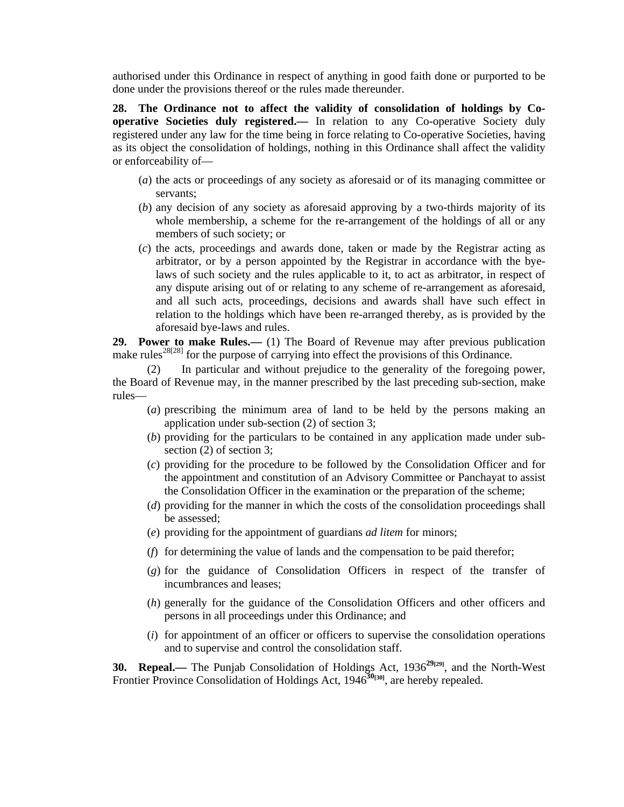authorised under this Ordinance in respect of anything in good faith done or purported to be done under the provisions thereof or the rules made thereunder.

**28. The Ordinance not to affect the validity of consolidation of holdings by Cooperative Societies duly registered.—** In relation to any Co-operative Society duly registered under any law for the time being in force relating to Co-operative Societies, having as its object the consolidation of holdings, nothing in this Ordinance shall affect the validity or enforceability of—

- (*a*) the acts or proceedings of any society as aforesaid or of its managing committee or servants;
- (*b*) any decision of any society as aforesaid approving by a two-thirds majority of its whole membership, a scheme for the re-arrangement of the holdings of all or any members of such society; or
- (*c*) the acts, proceedings and awards done, taken or made by the Registrar acting as arbitrator, or by a person appointed by the Registrar in accordance with the byelaws of such society and the rules applicable to it, to act as arbitrator, in respect of any dispute arising out of or relating to any scheme of re-arrangement as aforesaid, and all such acts, proceedings, decisions and awards shall have such effect in relation to the holdings which have been re-arranged thereby, as is provided by the aforesaid bye-laws and rules.

**29. Power to make Rules.—** (1) The Board of Revenue may after previous publication make rules<sup>28[28]</sup> for the purpose of carrying into effect the provisions of this Ordinance.

In particular and without prejudice to the generality of the foregoing power, the Board of Revenue may, in the manner prescribed by the last preceding sub-section, make rules—

- (*a*) prescribing the minimum area of land to be held by the persons making an application under sub-section (2) of section 3;
- (*b*) providing for the particulars to be contained in any application made under subsection (2) of section 3;
- (*c*) providing for the procedure to be followed by the Consolidation Officer and for the appointment and constitution of an Advisory Committee or Panchayat to assist the Consolidation Officer in the examination or the preparation of the scheme;
- (*d*) providing for the manner in which the costs of the consolidation proceedings shall be assessed;
- (*e*) providing for the appointment of guardians *ad litem* for minors;
- (*f*) for determining the value of lands and the compensation to be paid therefor;
- (*g*) for the guidance of Consolidation Officers in respect of the transfer of incumbrances and leases;
- (*h*) generally for the guidance of the Consolidation Officers and other officers and persons in all proceedings under this Ordinance; and
- (*i*) for appointment of an officer or officers to supervise the consolidation operations and to supervise and control the consolidation staff.

**30. Repeal.**— The Punjab Consolidation of Holdings Act, 1936<sup>29</sup><sup>[29]</sup>, and the North-West Frontier Province Consolidation of Holdings Act, 1946<sup>30</sup><sup>[30</sup>], are hereby repealed.